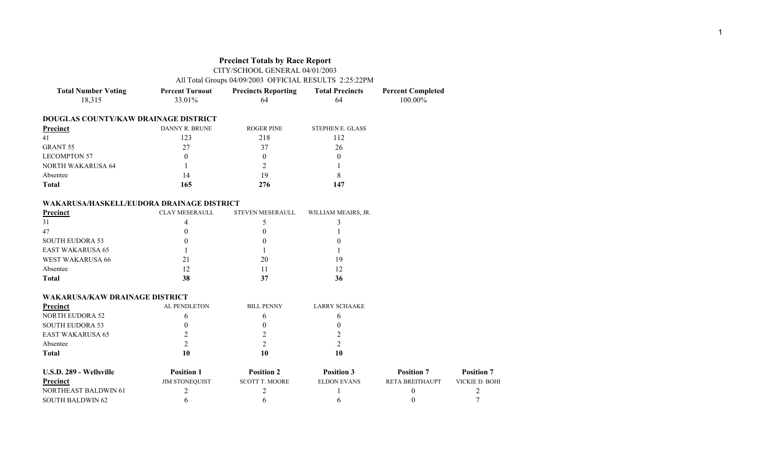|                                           | <b>Precinct Totals by Race Report</b><br>CITY/SCHOOL GENERAL 04/01/2003<br>All Total Groups 04/09/2003 OFFICIAL RESULTS 2:25:22PM |                            |                        |                          |
|-------------------------------------------|-----------------------------------------------------------------------------------------------------------------------------------|----------------------------|------------------------|--------------------------|
| <b>Total Number Voting</b>                | <b>Percent Turnout</b>                                                                                                            | <b>Precincts Reporting</b> | <b>Total Precincts</b> | <b>Percent Completed</b> |
| 18,315                                    | 33.01%                                                                                                                            | 64                         | 64                     | 100.00%                  |
| DOUGLAS COUNTY/KAW DRAINAGE DISTRICT      |                                                                                                                                   |                            |                        |                          |
| <b>Precinct</b>                           | DANNY R. BRUNE                                                                                                                    | <b>ROGER PINE</b>          | STEPHEN E. GLASS       |                          |
| 41                                        | 123                                                                                                                               | 218                        | 112                    |                          |
| <b>GRANT 55</b>                           | 27                                                                                                                                | 37                         | 26                     |                          |
| <b>LECOMPTON 57</b>                       | $\theta$                                                                                                                          | $\theta$                   | $\theta$               |                          |
| <b>NORTH WAKARUSA 64</b>                  | 1                                                                                                                                 | 2                          |                        |                          |
| Absentee                                  | 14                                                                                                                                | 19                         | 8                      |                          |
| <b>Total</b>                              | 165                                                                                                                               | 276                        | 147                    |                          |
| WAKARUSA/HASKELL/EUDORA DRAINAGE DISTRICT |                                                                                                                                   |                            |                        |                          |
| <b>Precinct</b>                           | <b>CLAY MESERAULL</b>                                                                                                             | <b>STEVEN MESERAULL</b>    | WILLIAM MEAIRS, JR.    |                          |
| 31                                        | 4                                                                                                                                 | 5                          | 3                      |                          |
| 47                                        | $\boldsymbol{0}$                                                                                                                  | $\boldsymbol{0}$           |                        |                          |
| <b>SOUTH EUDORA 53</b>                    | $\theta$                                                                                                                          | $\theta$                   | $\theta$               |                          |
| <b>EAST WAKARUSA 65</b>                   | 1                                                                                                                                 | 1                          |                        |                          |
| <b>WEST WAKARUSA 66</b>                   | 21                                                                                                                                | 20                         | 19                     |                          |
| Absentee                                  | 12                                                                                                                                | 11                         | 12                     |                          |
| <b>Total</b>                              | 38                                                                                                                                | 37                         | 36                     |                          |
| <b>WAKARUSA/KAW DRAINAGE DISTRICT</b>     |                                                                                                                                   |                            |                        |                          |
| <b>Precinct</b>                           | AL PENDLETON                                                                                                                      | <b>BILL PENNY</b>          | <b>LARRY SCHAAKE</b>   |                          |
| <b>NORTH EUDORA 52</b>                    | 6                                                                                                                                 | 6                          | 6                      |                          |
| <b>SOUTH EUDORA 53</b>                    | $\boldsymbol{0}$                                                                                                                  | $\theta$                   | $\theta$               |                          |
| <b>EAST WAKARUSA 65</b>                   | $\overline{2}$                                                                                                                    | $\overline{2}$             | $\overline{c}$         |                          |
| Absentee                                  | $\overline{2}$                                                                                                                    | $\overline{2}$             | $\overline{2}$         |                          |
| <b>Total</b>                              | 10                                                                                                                                | 10                         | 10                     |                          |
| U.S.D. 289 - Wellsville                   | <b>Position 1</b>                                                                                                                 | <b>Position 2</b>          | <b>Position 3</b>      | <b>Position 7</b>        |
| Precinct                                  | <b><i>IIM STONEOUIST</i></b>                                                                                                      | <b>SCOTT T MOORE</b>       | ELDON EVANS            | <b>RETA BREITHAUPT</b>   |

| - U.S.D. 289 - Wellsville   | Position              | <b>Position</b>       | <b>Position 3</b> | <b>Position</b>        | <b>Position</b> |
|-----------------------------|-----------------------|-----------------------|-------------------|------------------------|-----------------|
| Precinct                    | <b>JIM STONEOUIST</b> | <b>SCOTT T. MOORE</b> | ELDON EVANS       | <b>RETA BREITHAUPT</b> | VICKIE D. BOHI  |
| <b>NORTHEAST BALDWIN 61</b> |                       |                       |                   |                        |                 |
| SOUTH BALDWIN 62            |                       |                       |                   |                        |                 |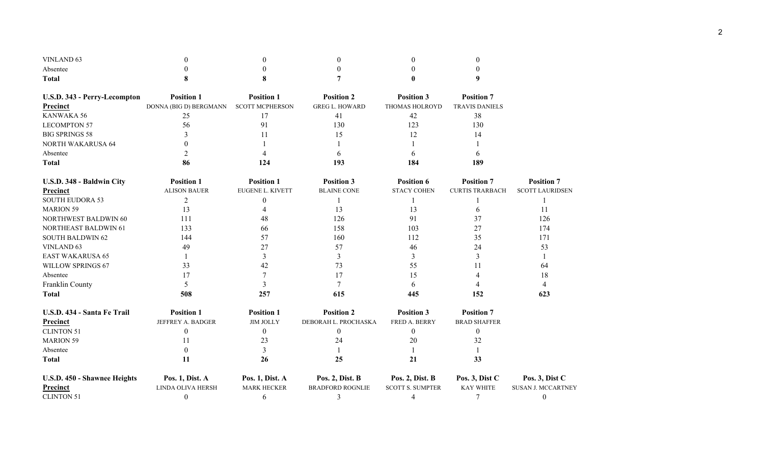| VINLAND <sub>63</sub>        |                        |                        |                         |                         |                        |                           |
|------------------------------|------------------------|------------------------|-------------------------|-------------------------|------------------------|---------------------------|
| Absentee                     |                        |                        |                         |                         |                        |                           |
| <b>Total</b>                 |                        |                        |                         |                         | 9                      |                           |
| U.S.D. 343 - Perry-Lecompton | <b>Position 1</b>      | <b>Position 1</b>      | <b>Position 2</b>       | <b>Position 3</b>       | <b>Position 7</b>      |                           |
| Precinct                     | DONNA (BIG D) BERGMANN | <b>SCOTT MCPHERSON</b> | <b>GREG L. HOWARD</b>   | THOMAS HOLROYD          | <b>TRAVIS DANIELS</b>  |                           |
| KANWAKA 56                   | 25                     | 17                     | 41                      | 42                      | 38                     |                           |
| <b>LECOMPTON 57</b>          | 56                     | 91                     | 130                     | 123                     | 130                    |                           |
| <b>BIG SPRINGS 58</b>        | 3                      | 11                     | 15                      | 12                      | 14                     |                           |
| <b>NORTH WAKARUSA 64</b>     |                        |                        |                         |                         |                        |                           |
| Absentee                     | $\overline{2}$         |                        | 6                       |                         |                        |                           |
| <b>Total</b>                 | 86                     | 124                    | 193                     | 184                     | 189                    |                           |
| U.S.D. 348 - Baldwin City    | <b>Position 1</b>      | <b>Position 1</b>      | <b>Position 3</b>       | <b>Position 6</b>       | <b>Position 7</b>      | <b>Position 7</b>         |
| Precinct                     | <b>ALISON BAUER</b>    | EUGENE L. KIVETT       | <b>BLAINE CONE</b>      | <b>STACY COHEN</b>      | <b>CURTIS TRARBACH</b> | <b>SCOTT LAURIDSEN</b>    |
| <b>SOUTH EUDORA 53</b>       | $\overline{2}$         | $\boldsymbol{0}$       |                         |                         |                        |                           |
| <b>MARION 59</b>             | 13                     | 4                      | 13                      | 13                      | 6                      | 11                        |
| NORTHWEST BALDWIN 60         | 111                    | 48                     | 126                     | 91                      | 37                     | 126                       |
| <b>NORTHEAST BALDWIN 61</b>  | 133                    | 66                     | 158                     | 103                     | 27                     | 174                       |
| <b>SOUTH BALDWIN 62</b>      | 144                    | 57                     | 160                     | 112                     | 35                     | 171                       |
| <b>VINLAND 63</b>            | 49                     | 27                     | 57                      | 46                      | 24                     | 53                        |
| <b>EAST WAKARUSA 65</b>      |                        | 3                      | 3                       | 3                       | 3                      |                           |
| WILLOW SPRINGS 67            | 33                     | 42                     | 73                      | 55                      | 11                     | 64                        |
| Absentee                     | 17                     | 7                      | 17                      | 15                      |                        | 18                        |
| Franklin County              | 5                      | 3                      | 7                       | 6                       |                        | 4                         |
| <b>Total</b>                 | 508                    | 257                    | 615                     | 445                     | 152                    | 623                       |
| U.S.D. 434 - Santa Fe Trail  | <b>Position 1</b>      | <b>Position 1</b>      | <b>Position 2</b>       | <b>Position 3</b>       | <b>Position 7</b>      |                           |
| Precinct                     | JEFFREY A. BADGER      | <b>JIM JOLLY</b>       | DEBORAH L. PROCHASKA    | FRED A. BERRY           | <b>BRAD SHAFFER</b>    |                           |
| <b>CLINTON 51</b>            | $\theta$               | 0                      | $\mathbf{0}$            | $\theta$                | $\boldsymbol{0}$       |                           |
| <b>MARION 59</b>             | 11                     | 23                     | 24                      | 20                      | 32                     |                           |
| Absentee                     | $\theta$               | 3                      |                         |                         |                        |                           |
| <b>Total</b>                 | 11                     | 26                     | 25                      | 21                      | 33                     |                           |
| U.S.D. 450 - Shawnee Heights | Pos. 1, Dist. A        | Pos. 1, Dist. A        | Pos. 2, Dist. B         | Pos. 2, Dist. B         | Pos. 3, Dist C         | Pos. 3, Dist C            |
| <b>Precinct</b>              | LINDA OLIVA HERSH      | <b>MARK HECKER</b>     | <b>BRADFORD ROGNLIE</b> | <b>SCOTT S. SUMPTER</b> | <b>KAY WHITE</b>       | <b>SUSAN J. MCCARTNEY</b> |
| <b>CLINTON 51</b>            | $\boldsymbol{0}$       | 6                      | 3                       | $\overline{4}$          | 7                      | $\mathbf{0}$              |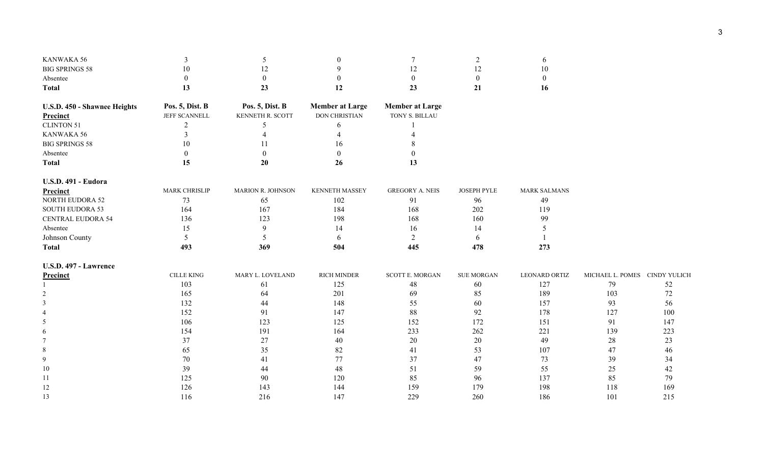| KANWAKA 56                   | 3                    | 5                        | $\overline{0}$         | 7                      | 2                | 6                    |                               |        |
|------------------------------|----------------------|--------------------------|------------------------|------------------------|------------------|----------------------|-------------------------------|--------|
| <b>BIG SPRINGS 58</b>        | 10                   | 12                       | 9                      | 12                     | 12               | 10                   |                               |        |
| Absentee                     | $\overline{0}$       | $\boldsymbol{0}$         | $\overline{0}$         | $\overline{0}$         | $\boldsymbol{0}$ | $\boldsymbol{0}$     |                               |        |
| <b>Total</b>                 | 13                   | 23                       | 12                     | 23                     | 21               | 16                   |                               |        |
| U.S.D. 450 - Shawnee Heights | Pos. 5, Dist. B      | Pos. 5, Dist. B          | <b>Member at Large</b> | <b>Member at Large</b> |                  |                      |                               |        |
| Precinct                     | JEFF SCANNELL        | KENNETH R. SCOTT         | DON CHRISTIAN          | TONY S. BILLAU         |                  |                      |                               |        |
| <b>CLINTON 51</b>            | $\overline{c}$       | 5                        | 6                      |                        |                  |                      |                               |        |
| KANWAKA 56                   | $\overline{3}$       | $\overline{4}$           | $\overline{4}$         | 4                      |                  |                      |                               |        |
| <b>BIG SPRINGS 58</b>        | 10                   | 11                       | 16                     | 8                      |                  |                      |                               |        |
| Absentee                     | $\theta$             | $\theta$                 | $\overline{0}$         | $\Omega$               |                  |                      |                               |        |
| <b>Total</b>                 | 15                   | 20                       | 26                     | 13                     |                  |                      |                               |        |
| <b>U.S.D. 491 - Eudora</b>   |                      |                          |                        |                        |                  |                      |                               |        |
| Precinct                     | <b>MARK CHRISLIP</b> | <b>MARION R. JOHNSON</b> | <b>KENNETH MASSEY</b>  | <b>GREGORY A. NEIS</b> | JOSEPH PYLE      | <b>MARK SALMANS</b>  |                               |        |
| <b>NORTH EUDORA 52</b>       | 73                   | 65                       | 102                    | 91                     | 96               | 49                   |                               |        |
| <b>SOUTH EUDORA 53</b>       | 164                  | 167                      | 184                    | 168                    | 202              | 119                  |                               |        |
| <b>CENTRAL EUDORA 54</b>     | 136                  | 123                      | 198                    | 168                    | 160              | 99                   |                               |        |
| Absentee                     | 15                   | 9                        | 14                     | 16                     | 14               | 5                    |                               |        |
| Johnson County               | 5                    | 5                        | 6                      | $\overline{2}$         | 6                |                      |                               |        |
| <b>Total</b>                 | 493                  | 369                      | 504                    | 445                    | 478              | 273                  |                               |        |
| <b>U.S.D. 497 - Lawrence</b> |                      |                          |                        |                        |                  |                      |                               |        |
| Precinct                     | <b>CILLE KING</b>    | MARY L. LOVELAND         | <b>RICH MINDER</b>     | <b>SCOTT E. MORGAN</b> | SUE MORGAN       | <b>LEONARD ORTIZ</b> | MICHAEL L. POMES CINDY YULICH |        |
|                              | 103                  | 61                       | 125                    | $48\,$                 | 60               | 127                  | 79                            | 52     |
|                              | 165                  | 64                       | 201                    | 69                     | 85               | 189                  | 103                           | 72     |
| 3                            | 132                  | 44                       | 148                    | 55                     | 60               | 157                  | 93                            | 56     |
|                              | 152                  | 91                       | 147                    | $88\,$                 | 92               | 178                  | 127                           | 100    |
| 5                            | 106                  | 123                      | 125                    | 152                    | 172              | 151                  | 91                            | 147    |
|                              | 154                  | 191                      | 164                    | 233                    | 262              | 221                  | 139                           | 223    |
|                              | 37                   | 27                       | 40                     | 20                     | 20               | 49                   | $28\,$                        | 23     |
| 8                            | 65                   | 35                       | 82                     | 41                     | 53               | 107                  | 47                            | 46     |
| 9                            | 70                   | 41                       | 77                     | 37                     | 47               | 73                   | 39                            | 34     |
| 10                           | 39                   | 44                       | 48                     | 51                     | 59               | 55                   | 25                            | $42\,$ |
| 11                           | 125                  | 90                       | 120                    | 85                     | 96               | 137                  | 85                            | 79     |
| 12                           | 126                  | 143                      | 144                    | 159                    | 179              | 198                  | 118                           | 169    |
| 13                           | 116                  | 216                      | 147                    | 229                    | 260              | 186                  | 101                           | 215    |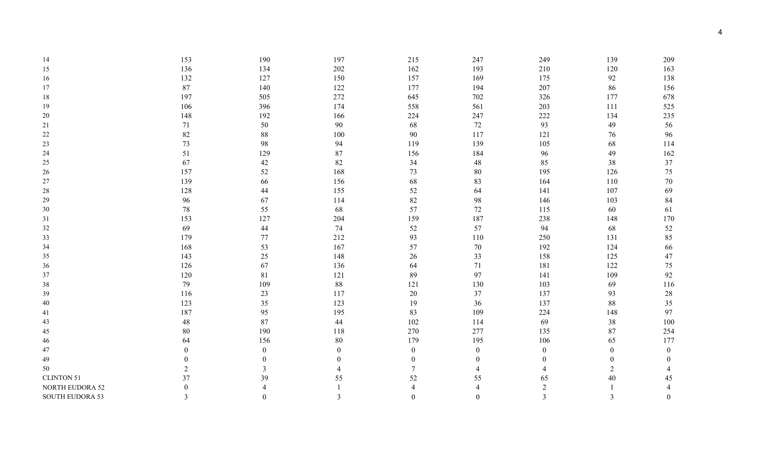| 14                     | 153            | 190              | 197              | 215              | 247              | 249              | 139            | 209              |
|------------------------|----------------|------------------|------------------|------------------|------------------|------------------|----------------|------------------|
| 15                     | 136            | 134              | $202\,$          | 162              | 193              | 210              | 120            | 163              |
| 16                     | 132            | 127              | 150              | 157              | 169              | 175              | 92             | 138              |
| 17                     | 87             | 140              | 122              | 177              | 194              | 207              | 86             | 156              |
| 18                     | 197            | 505              | 272              | 645              | 702              | 326              | 177            | 678              |
| 19                     | 106            | 396              | 174              | 558              | 561              | 203              | 111            | 525              |
| $20\,$                 | 148            | 192              | 166              | 224              | 247              | 222              | 134            | 235              |
| 21                     | 71             | 50               | 90               | 68               | 72               | 93               | 49             | 56               |
| $22\,$                 | 82             | 88               | 100              | 90               | 117              | 121              | 76             | 96               |
| $23\,$                 | 73             | 98               | 94               | 119              | 139              | 105              | 68             | 114              |
| 24                     | 51             | 129              | 87               | 156              | 184              | 96               | 49             | 162              |
| $25\,$                 | 67             | $42\,$           | $82\,$           | 34               | 48               | 85               | 38             | 37               |
| $26\,$                 | 157            | 52               | 168              | 73               | 80               | 195              | 126            | 75               |
| 27                     | 139            | 66               | 156              | 68               | 83               | 164              | 110            | 70               |
| $28\,$                 | 128            | 44               | 155              | 52               | 64               | 141              | 107            | 69               |
| 29                     | 96             | 67               | 114              | 82               | 98               | 146              | 103            | 84               |
| 30                     | $78\,$         | 55               | 68               | 57               | 72               | 115              | 60             | 61               |
| 31                     | 153            | 127              | 204              | 159              | 187              | 238              | 148            | 170              |
| $32\,$                 | 69             | 44               | 74               | 52               | 57               | 94               | 68             | 52               |
| 33                     | 179            | 77               | 212              | 93               | 110              | 250              | 131            | 85               |
| 34                     | 168            | 53               | 167              | 57               | 70               | 192              | 124            | 66               |
| 35                     | 143            | $25\,$           | 148              | 26               | 33               | 158              | 125            | 47               |
| 36                     | 126            | 67               | 136              | 64               | 71               | 181              | 122            | 75               |
| $37\,$                 | 120            | $81\,$           | 121              | 89               | 97               | 141              | 109            | 92               |
| 38                     | 79             | 109              | $88\,$           | 121              | 130              | 103              | 69             | 116              |
| 39                     | 116            | 23               | 117              | 20               | 37               | 137              | 93             | $28\,$           |
| $40\,$                 | 123            | 35               | 123              | 19               | 36               | 137              | 88             | 35               |
| 41                     | 187            | 95               | 195              | 83               | 109              | 224              | 148            | 97               |
| 43                     | 48             | 87               | 44               | 102              | 114              | 69               | 38             | 100              |
| 45                     | 80             | 190              | 118              | 270              | 277              | 135              | 87             | 254              |
| 46                     | 64             | 156              | $80\,$           | 179              | 195              | 106              | 65             | 177              |
| $47\,$                 | $\overline{0}$ | $\boldsymbol{0}$ | $\boldsymbol{0}$ | $\boldsymbol{0}$ | $\boldsymbol{0}$ | $\boldsymbol{0}$ | $\theta$       | $\boldsymbol{0}$ |
| 49                     | 0              | $\boldsymbol{0}$ | $\overline{0}$   | $\boldsymbol{0}$ | 0                | $\overline{0}$   | $\Omega$       | $\theta$         |
| 50                     | $\overline{2}$ | 3                |                  | $\tau$           |                  | 4                | $\overline{2}$ |                  |
| <b>CLINTON 51</b>      | 37             | 39               | 55               | 52               | 55               | 65               | $40\,$         | 45               |
| NORTH EUDORA 52        | 0              |                  |                  |                  |                  | $\boldsymbol{2}$ |                | $\overline{4}$   |
| <b>SOUTH EUDORA 53</b> | 3              | $\boldsymbol{0}$ | 3                | $\theta$         | 0                | 3                | 3              | $\theta$         |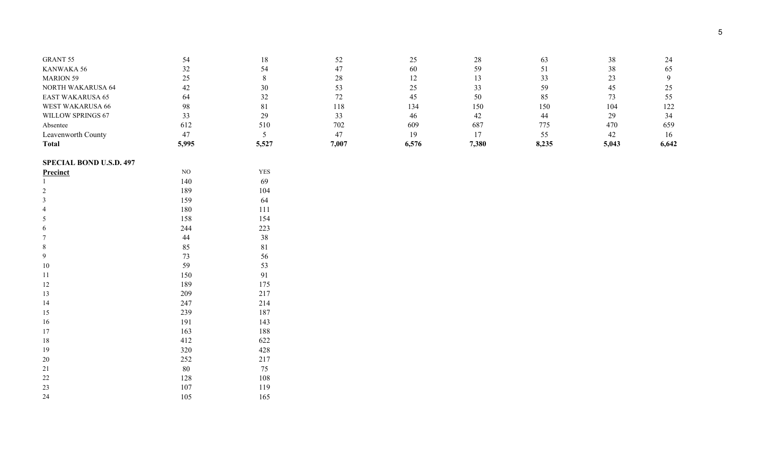| Total                    | 5,995 | 5,527 | 7,007 | 6,576 | 7.380 | 8,235 | 5,043 | 6,642 |
|--------------------------|-------|-------|-------|-------|-------|-------|-------|-------|
| Leavenworth County       |       |       |       | 19    |       |       | 42    | 16    |
| Absentee                 | 612   | 510   | 702   | 609   | 687   | 775   | 470   | 659   |
| WILLOW SPRINGS 67        |       | 29    |       | 46    | 42    |       | 29    | 34    |
| <b>WEST WAKARUSA 66</b>  | 98    | 81    | l 18  | 134   | 150   | 150   | 104   | 122   |
| <b>EAST WAKARUSA 65</b>  | 64    | 32    |       | 45    | 50    | 85    |       |       |
| <b>NORTH WAKARUSA 64</b> | 42    | 30    |       |       | 33    | 59    | 45    |       |
| <b>MARION 59</b>         | ر ب   |       |       |       |       |       | رے    |       |
| KANWAKA 56               |       | 54    |       | 60    | 59    |       | 38    | 65    |
| <b>GRANT 55</b>          |       | 18    |       |       | 28    | 63    | 38    | 24    |
|                          |       |       |       |       |       |       |       |       |

### **SPECIAL BOND U.S.D. 497**

| NO  | <b>YES</b> |
|-----|------------|
| 140 | 69         |
| 189 | 104        |
| 159 | 64         |
| 180 | 111        |
| 158 | 154        |
| 244 | 223        |
| 44  | 38         |
| 85  | 81         |
| 73  | 56         |
| 59  | 53         |
| 150 | 91         |
| 189 | 175        |
| 209 | 217        |
| 247 | 214        |
| 239 | 187        |
| 191 | 143        |
| 163 | 188        |
| 412 | 622        |
| 320 | 428        |
| 252 | 217        |
| 80  | 75         |
| 128 | 108        |
| 107 | 119        |
| 105 | 165        |
|     |            |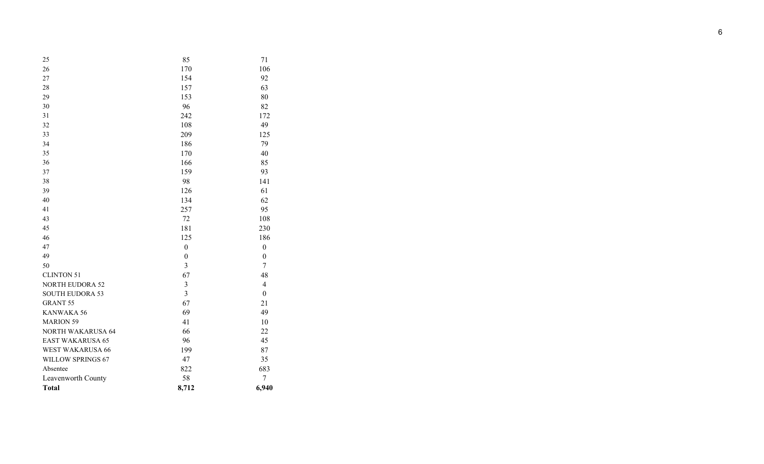| 25                       | 85               | 71               |
|--------------------------|------------------|------------------|
| 26                       | 170              | 106              |
| 27                       | 154              | 92               |
| 28                       | 157              | 63               |
| 29                       | 153              | 80               |
| 30                       | 96               | 82               |
| 31                       | 242              | 172              |
| 32                       | 108              | 49               |
| 33                       | 209              | 125              |
| 34                       | 186              | 79               |
| 35                       | 170              | 40               |
| 36                       | 166              | 85               |
| 37                       | 159              | 93               |
| 38                       | 98               | 141              |
| 39                       | 126              | 61               |
| 40                       | 134              | 62               |
| 41                       | 257              | 95               |
| 43                       | 72               | 108              |
| 45                       | 181              | 230              |
| 46                       | 125              | 186              |
| 47                       | $\boldsymbol{0}$ | $\boldsymbol{0}$ |
| 49                       | $\boldsymbol{0}$ | $\boldsymbol{0}$ |
| 50                       | $\overline{3}$   | $\overline{7}$   |
| <b>CLINTON 51</b>        | 67               | 48               |
| <b>NORTH EUDORA 52</b>   | $\mathfrak{Z}$   | $\overline{4}$   |
| <b>SOUTH EUDORA 53</b>   | $\overline{3}$   | $\boldsymbol{0}$ |
| <b>GRANT 55</b>          | 67               | 21               |
| KANWAKA 56               | 69               | 49               |
| <b>MARION 59</b>         | 41               | 10               |
| <b>NORTH WAKARUSA 64</b> | 66               | 22               |
| EAST WAKARUSA 65         | 96               | 45               |
| <b>WEST WAKARUSA 66</b>  | 199              | 87               |
| WILLOW SPRINGS 67        | 47               | 35               |
| Absentee                 | 822              | 683              |
| Leavenworth County       | 58               | 7                |
| <b>Total</b>             | 8,712            | 6,940            |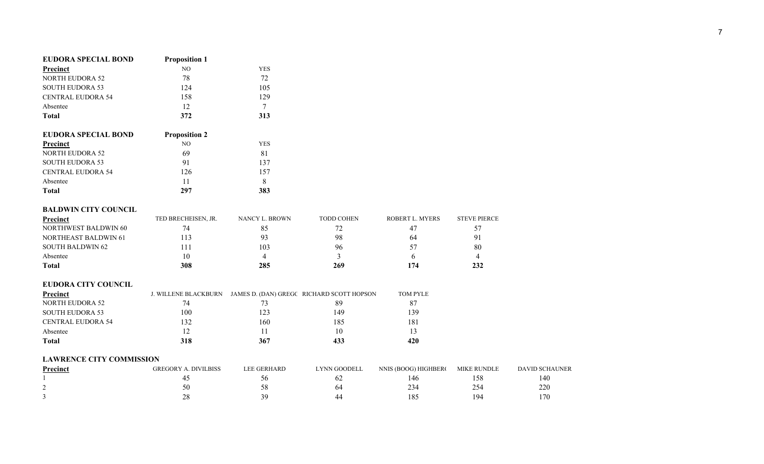| EUDORA SPECIAL BOND      | <b>Proposition 1</b> |     |
|--------------------------|----------------------|-----|
| Precinct                 | NO.                  | YES |
| <b>NORTH EUDORA 52</b>   | 78                   | 72  |
| <b>SOUTH EUDORA 53</b>   | 124                  | 105 |
| <b>CENTRAL EUDORA 54</b> | 158                  | 129 |
| Absentee                 | 12                   |     |
| <b>Total</b>             | 372                  | 313 |

| EUDORA SPECIAL BOND      | <b>Proposition 2</b> |     |
|--------------------------|----------------------|-----|
| Precinct                 | NO.                  | YES |
| <b>NORTH EUDORA 52</b>   | 69                   | 81  |
| <b>SOUTH EUDORA 53</b>   | 91                   | 137 |
| <b>CENTRAL EUDORA 54</b> | 126                  | 157 |
| Absentee                 | 11                   | 8   |
| <b>Total</b>             | 297                  | 383 |

## **BALDWIN CITY COUNCIL**

| Precinct                    | TED BRECHEISEN, JR. | NANCY L. BROWN | <b>TODD COHEN</b> | ROBERT L. MYERS | <b>STEVE PIERCE</b> |
|-----------------------------|---------------------|----------------|-------------------|-----------------|---------------------|
| NORTHWEST BALDWIN 60        |                     | 85             | ے ،               | 47              |                     |
| <b>NORTHEAST BALDWIN 61</b> | 13                  | 93             | 98                | 64              |                     |
| SOUTH BALDWIN 62            |                     | 103            | 96                | 57              | 80                  |
| Absentee                    |                     |                |                   |                 |                     |
| Total                       | 308                 | 285            | 269               | 174             | 232                 |

## **EUDORA CITY COUNCIL**

| Precinct                 | <b>J. WILLENE BLACKBURN</b> |     | JAMES D. (DAN) GREGC RICHARD SCOTT HOPSON | <b>TOM PYLE</b> |
|--------------------------|-----------------------------|-----|-------------------------------------------|-----------------|
| NORTH EUDORA 52          | 74                          |     | 89                                        |                 |
| <b>SOUTH EUDORA 53</b>   | 100                         | 123 | 149                                       | 139             |
| <b>CENTRAL EUDORA 54</b> | 132                         | 160 | 185                                       | 181             |
| Absentee                 |                             |     | 10                                        |                 |
| Total                    | 318                         | 367 | 433                                       | 420             |

#### **LAWRENCE CITY COMMISSION**

| Precinct | DIVILBISS<br><b>GREGORY</b> | LEE GERHARD | <b>LYNN GOODELL</b> | NNIS (BOOG) HIGHBERC | <b>MIKE RUNDLE</b> | <b>DAVID SCHAUNER</b> |
|----------|-----------------------------|-------------|---------------------|----------------------|--------------------|-----------------------|
|          |                             |             |                     | 46ء                  | 58                 | 40ء                   |
|          |                             |             | 54                  | 234                  |                    | 220                   |
|          | იი<br>ZΟ                    |             | 44                  | 185                  | $Q_4$              | 170                   |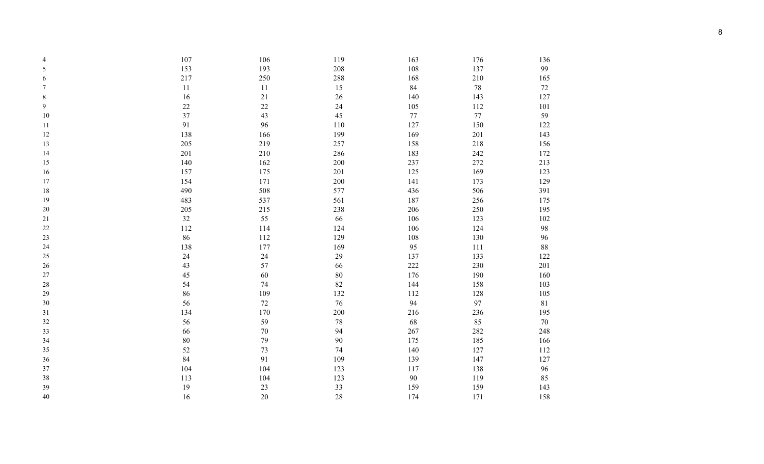| 4      | 107    | 106    | 119     | 163     | 176     | 136    |
|--------|--------|--------|---------|---------|---------|--------|
| 5      | 153    | 193    | 208     | 108     | 137     | 99     |
| 6      | 217    | 250    | $288\,$ | 168     | $210\,$ | 165    |
| 7      | 11     | 11     | 15      | 84      | 78      | $72\,$ |
| $8\,$  | 16     | 21     | 26      | 140     | 143     | 127    |
| 9      | $22\,$ | $22\,$ | 24      | 105     | 112     | 101    |
| 10     | 37     | 43     | 45      | $77 \,$ | 77      | 59     |
| 11     | 91     | 96     | 110     | 127     | 150     | 122    |
| 12     | 138    | 166    | 199     | 169     | 201     | 143    |
| 13     | 205    | 219    | 257     | 158     | 218     | 156    |
| 14     | 201    | 210    | 286     | 183     | 242     | 172    |
| 15     | 140    | 162    | 200     | 237     | $272\,$ | 213    |
| 16     | 157    | 175    | 201     | 125     | 169     | 123    |
| 17     | 154    | 171    | 200     | 141     | 173     | 129    |
| 18     | 490    | 508    | 577     | 436     | 506     | 391    |
| 19     | 483    | 537    | 561     | 187     | 256     | 175    |
| $20\,$ | 205    | 215    | 238     | 206     | 250     | 195    |
| 21     | 32     | 55     | 66      | 106     | 123     | 102    |
| $22\,$ | 112    | 114    | 124     | 106     | 124     | 98     |
| 23     | 86     | 112    | 129     | 108     | 130     | 96     |
| 24     | 138    | 177    | 169     | 95      | 111     | 88     |
| 25     | 24     | 24     | 29      | 137     | 133     | 122    |
| $26\,$ | 43     | 57     | 66      | $222\,$ | 230     | 201    |
| $27\,$ | 45     | 60     | 80      | 176     | 190     | 160    |
| $28\,$ | 54     | 74     | 82      | 144     | 158     | 103    |
| 29     | 86     | 109    | 132     | 112     | 128     | 105    |
| $30\,$ | 56     | $72\,$ | $76\,$  | 94      | 97      | $81\,$ |
| 31     | 134    | 170    | 200     | 216     | 236     | 195    |
| 32     | 56     | 59     | $78\,$  | 68      | 85      | $70\,$ |
| 33     | 66     | $70\,$ | 94      | 267     | 282     | 248    |
| 34     | $80\,$ | 79     | 90      | 175     | 185     | 166    |
| 35     | 52     | 73     | 74      | 140     | 127     | 112    |
| 36     | 84     | 91     | 109     | 139     | 147     | 127    |
| 37     | 104    | 104    | 123     | 117     | 138     | 96     |
| 38     | 113    | 104    | 123     | 90      | 119     | 85     |
| 39     | 19     | 23     | 33      | 159     | 159     | 143    |
| 40     | 16     | $20\,$ | 28      | 174     | 171     | 158    |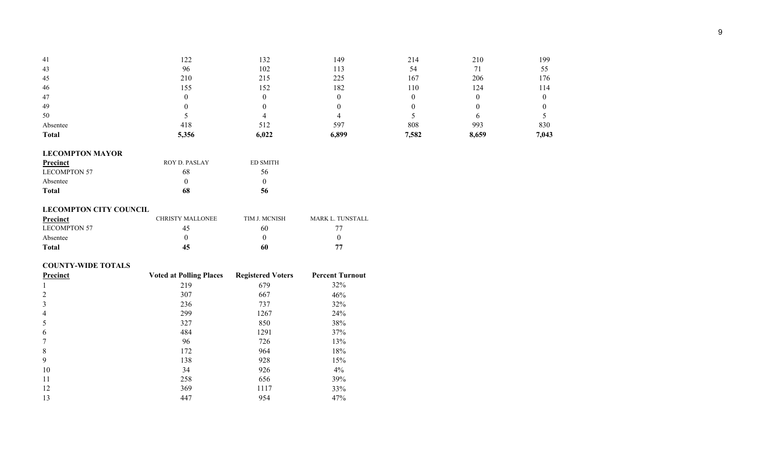| 41           | 1 າ າ<br>ستمست | 132   | 149   | 214   | 210   | 199   |
|--------------|----------------|-------|-------|-------|-------|-------|
| 43           | 96             | 102   |       | 54    |       | 55    |
| 45           | 210            | 215   | 225   | 167   | 206   | 76ء   |
| 46           | 155            | 152   | 182   | 110   | 124   | . 14  |
| 47           |                |       |       |       |       |       |
| 49           |                |       |       |       |       |       |
| 50           |                |       |       |       |       |       |
| Absentee     | 418            | 512   | 597   | 808   | 993   | 830   |
| <b>Total</b> | 5,356          | 6,022 | 6,899 | 7,582 | 8,659 | 7,043 |

# **LECOMPTON MAYOR**

| Precinct     | ROY D. PASLAY | <b>ED SMITH</b> |
|--------------|---------------|-----------------|
| LECOMPTON 57 | 68            | 56              |
| Absentee     |               |                 |
| <b>Total</b> | 68            | 56              |

## **LECOMPTON CITY COUNCIL**

| Precinct            | <b>CHRISTY MALLONEE</b> | TIM J. MCNISH | <b>MARK L. TUNSTALL</b> |
|---------------------|-------------------------|---------------|-------------------------|
| <b>LECOMPTON 57</b> | 42                      | 60            |                         |
| Absentee            |                         |               |                         |
| <b>Total</b>        |                         | 60            | 77                      |

## **COUNTY-WIDE TOTALS**

| Precinct       | <b>Voted at Polling Places</b> | <b>Registered Voters</b> | <b>Percent Turnout</b> |
|----------------|--------------------------------|--------------------------|------------------------|
| 1              | 219                            | 679                      | 32%                    |
| 2              | 307                            | 667                      | 46%                    |
| 3              | 236                            | 737                      | 32%                    |
| $\overline{4}$ | 299                            | 1267                     | 24%                    |
| 5              | 327                            | 850                      | 38%                    |
| 6              | 484                            | 1291                     | 37%                    |
|                | 96                             | 726                      | 13%                    |
| 8              | 172                            | 964                      | 18%                    |
| 9              | 138                            | 928                      | 15%                    |
| 10             | 34                             | 926                      | $4\%$                  |
| 11             | 258                            | 656                      | 39%                    |
| 12             | 369                            | 1117                     | 33%                    |
| 13             | 447                            | 954                      | 47%                    |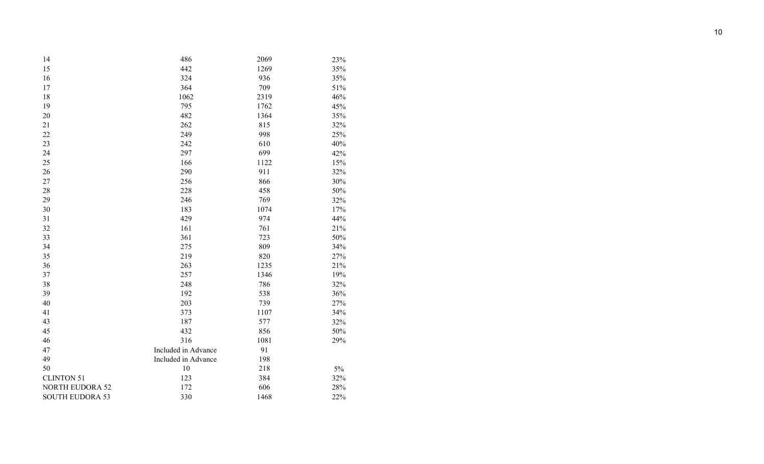| 14                     | 486                 | 2069 | 23%   |
|------------------------|---------------------|------|-------|
| 15                     | 442                 | 1269 | 35%   |
| 16                     | 324                 | 936  | 35%   |
| 17                     | 364                 | 709  | 51%   |
| 18                     | 1062                | 2319 | 46%   |
| 19                     | 795                 | 1762 | 45%   |
| 20                     | 482                 | 1364 | 35%   |
| 21                     | 262                 | 815  | 32%   |
| 22                     | 249                 | 998  | 25%   |
| 23                     | 242                 | 610  | 40%   |
| 24                     | 297                 | 699  | 42%   |
| 25                     | 166                 | 1122 | 15%   |
| 26                     | 290                 | 911  | 32%   |
| $27\,$                 | 256                 | 866  | 30%   |
| 28                     | 228                 | 458  | 50%   |
| 29                     | 246                 | 769  | 32%   |
| 30                     | 183                 | 1074 | 17%   |
| 31                     | 429                 | 974  | 44%   |
| 32                     | 161                 | 761  | 21%   |
| 33                     | 361                 | 723  | 50%   |
| 34                     | 275                 | 809  | 34%   |
| 35                     | 219                 | 820  | 27%   |
| 36                     | 263                 | 1235 | 21%   |
| 37                     | 257                 | 1346 | 19%   |
| 38                     | 248                 | 786  | 32%   |
| 39                     | 192                 | 538  | 36%   |
| 40                     | 203                 | 739  | 27%   |
| 41                     | 373                 | 1107 | 34%   |
| 43                     | 187                 | 577  | 32%   |
| 45                     | 432                 | 856  | 50%   |
| 46                     | 316                 | 1081 | 29%   |
| 47                     | Included in Advance | 91   |       |
| 49                     | Included in Advance | 198  |       |
| 50                     | $10\,$              | 218  | $5\%$ |
| <b>CLINTON 51</b>      | 123                 | 384  | 32%   |
| <b>NORTH EUDORA 52</b> | 172                 | 606  | 28%   |
| <b>SOUTH EUDORA 53</b> | 330                 | 1468 | 22%   |
|                        |                     |      |       |